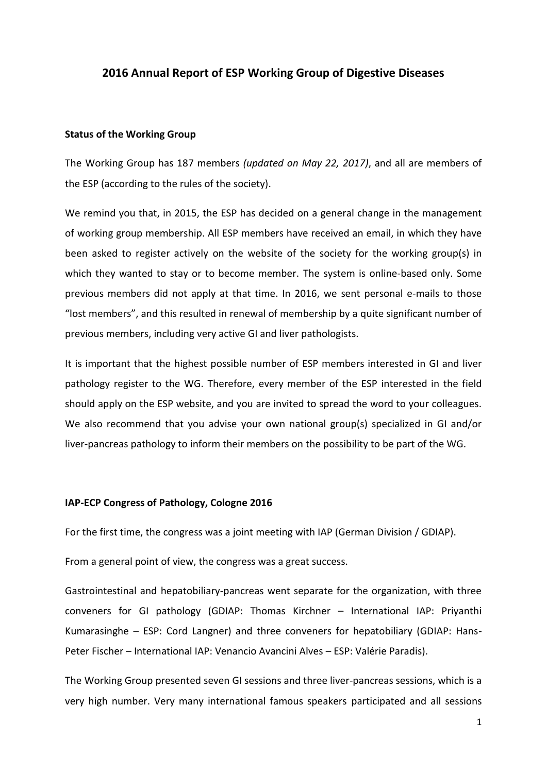# **2016 Annual Report of ESP Working Group of Digestive Diseases**

#### **Status of the Working Group**

The Working Group has 187 members *(updated on May 22, 2017)*, and all are members of the ESP (according to the rules of the society).

We remind you that, in 2015, the ESP has decided on a general change in the management of working group membership. All ESP members have received an email, in which they have been asked to register actively on the website of the society for the working group(s) in which they wanted to stay or to become member. The system is online-based only. Some previous members did not apply at that time. In 2016, we sent personal e-mails to those "lost members", and this resulted in renewal of membership by a quite significant number of previous members, including very active GI and liver pathologists.

It is important that the highest possible number of ESP members interested in GI and liver pathology register to the WG. Therefore, every member of the ESP interested in the field should apply on the ESP website, and you are invited to spread the word to your colleagues. We also recommend that you advise your own national group(s) specialized in GI and/or liver-pancreas pathology to inform their members on the possibility to be part of the WG.

#### **IAP-ECP Congress of Pathology, Cologne 2016**

For the first time, the congress was a joint meeting with IAP (German Division / GDIAP).

From a general point of view, the congress was a great success.

Gastrointestinal and hepatobiliary-pancreas went separate for the organization, with three conveners for GI pathology (GDIAP: Thomas Kirchner – International IAP: Priyanthi Kumarasinghe – ESP: Cord Langner) and three conveners for hepatobiliary (GDIAP: Hans-Peter Fischer – International IAP: Venancio Avancini Alves – ESP: Valérie Paradis).

The Working Group presented seven GI sessions and three liver-pancreas sessions, which is a very high number. Very many international famous speakers participated and all sessions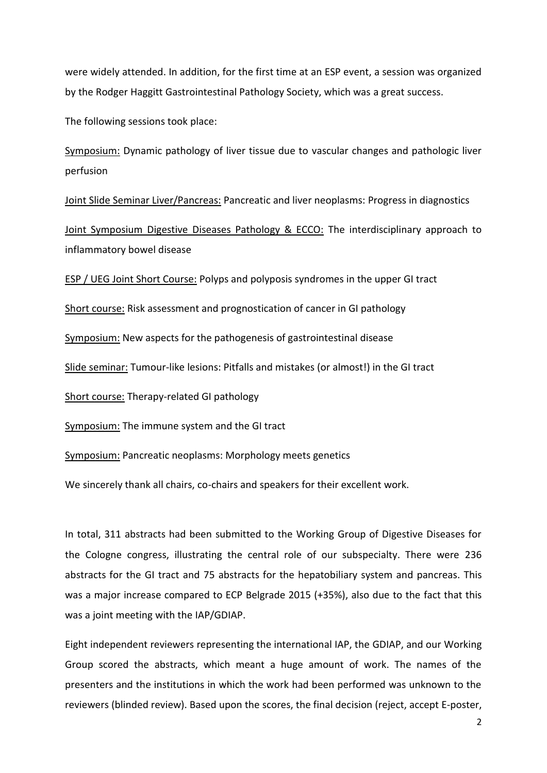were widely attended. In addition, for the first time at an ESP event, a session was organized by the Rodger Haggitt Gastrointestinal Pathology Society, which was a great success.

The following sessions took place:

Symposium: Dynamic pathology of liver tissue due to vascular changes and pathologic liver perfusion

Joint Slide Seminar Liver/Pancreas: Pancreatic and liver neoplasms: Progress in diagnostics

Joint Symposium Digestive Diseases Pathology & ECCO: The interdisciplinary approach to inflammatory bowel disease

ESP / UEG Joint Short Course: Polyps and polyposis syndromes in the upper GI tract

Short course: Risk assessment and prognostication of cancer in GI pathology

Symposium: New aspects for the pathogenesis of gastrointestinal disease

Slide seminar: Tumour-like lesions: Pitfalls and mistakes (or almost!) in the GI tract

Short course: Therapy-related GI pathology

Symposium: The immune system and the GI tract

Symposium: Pancreatic neoplasms: Morphology meets genetics

We sincerely thank all chairs, co-chairs and speakers for their excellent work.

In total, 311 abstracts had been submitted to the Working Group of Digestive Diseases for the Cologne congress, illustrating the central role of our subspecialty. There were 236 abstracts for the GI tract and 75 abstracts for the hepatobiliary system and pancreas. This was a major increase compared to ECP Belgrade 2015 (+35%), also due to the fact that this was a joint meeting with the IAP/GDIAP.

Eight independent reviewers representing the international IAP, the GDIAP, and our Working Group scored the abstracts, which meant a huge amount of work. The names of the presenters and the institutions in which the work had been performed was unknown to the reviewers (blinded review). Based upon the scores, the final decision (reject, accept E-poster,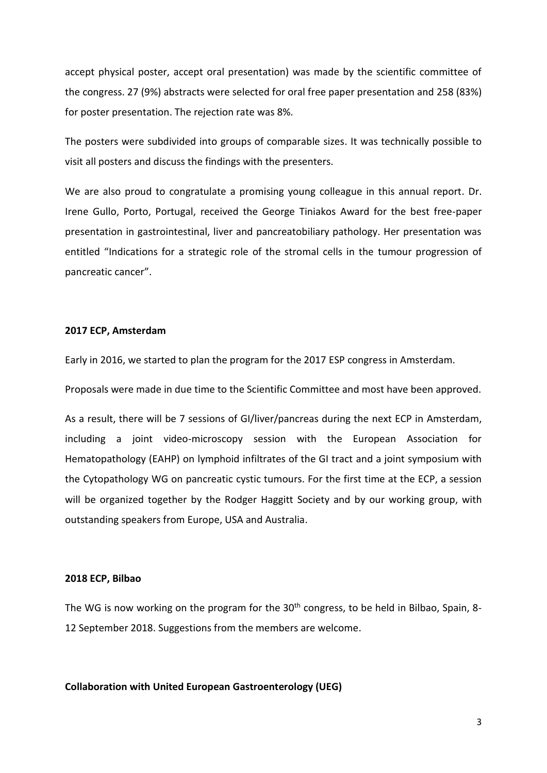accept physical poster, accept oral presentation) was made by the scientific committee of the congress. 27 (9%) abstracts were selected for oral free paper presentation and 258 (83%) for poster presentation. The rejection rate was 8%.

The posters were subdivided into groups of comparable sizes. It was technically possible to visit all posters and discuss the findings with the presenters.

We are also proud to congratulate a promising young colleague in this annual report. Dr. Irene Gullo, Porto, Portugal, received the George Tiniakos Award for the best free-paper presentation in gastrointestinal, liver and pancreatobiliary pathology. Her presentation was entitled "Indications for a strategic role of the stromal cells in the tumour progression of pancreatic cancer".

## **2017 ECP, Amsterdam**

Early in 2016, we started to plan the program for the 2017 ESP congress in Amsterdam.

Proposals were made in due time to the Scientific Committee and most have been approved.

As a result, there will be 7 sessions of GI/liver/pancreas during the next ECP in Amsterdam, including a joint video-microscopy session with the European Association for Hematopathology (EAHP) on lymphoid infiltrates of the GI tract and a joint symposium with the Cytopathology WG on pancreatic cystic tumours. For the first time at the ECP, a session will be organized together by the Rodger Haggitt Society and by our working group, with outstanding speakers from Europe, USA and Australia.

## **2018 ECP, Bilbao**

The WG is now working on the program for the 30<sup>th</sup> congress, to be held in Bilbao, Spain, 8-12 September 2018. Suggestions from the members are welcome.

## **Collaboration with United European Gastroenterology (UEG)**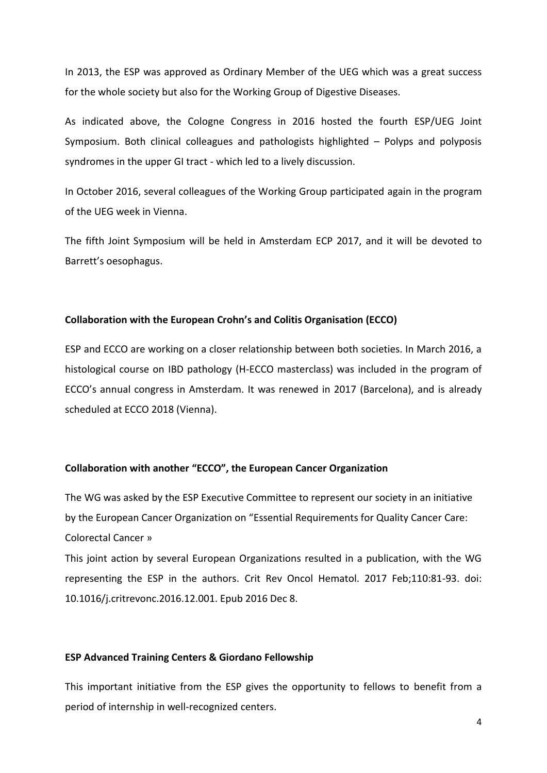In 2013, the ESP was approved as Ordinary Member of the UEG which was a great success for the whole society but also for the Working Group of Digestive Diseases.

As indicated above, the Cologne Congress in 2016 hosted the fourth ESP/UEG Joint Symposium. Both clinical colleagues and pathologists highlighted – Polyps and polyposis syndromes in the upper GI tract - which led to a lively discussion.

In October 2016, several colleagues of the Working Group participated again in the program of the UEG week in Vienna.

The fifth Joint Symposium will be held in Amsterdam ECP 2017, and it will be devoted to Barrett's oesophagus.

## **Collaboration with the European Crohn's and Colitis Organisation (ECCO)**

ESP and ECCO are working on a closer relationship between both societies. In March 2016, a histological course on IBD pathology (H-ECCO masterclass) was included in the program of ECCO's annual congress in Amsterdam. It was renewed in 2017 (Barcelona), and is already scheduled at ECCO 2018 (Vienna).

## **Collaboration with another "ECCO", the European Cancer Organization**

The WG was asked by the ESP Executive Committee to represent our society in an initiative by the European Cancer Organization on "Essential Requirements for Quality Cancer Care: Colorectal Cancer »

This joint action by several European Organizations resulted in a publication, with the WG representing the ESP in the authors. Crit Rev Oncol Hematol. 2017 Feb;110:81-93. doi: 10.1016/j.critrevonc.2016.12.001. Epub 2016 Dec 8.

## **ESP Advanced Training Centers & Giordano Fellowship**

This important initiative from the ESP gives the opportunity to fellows to benefit from a period of internship in well-recognized centers.